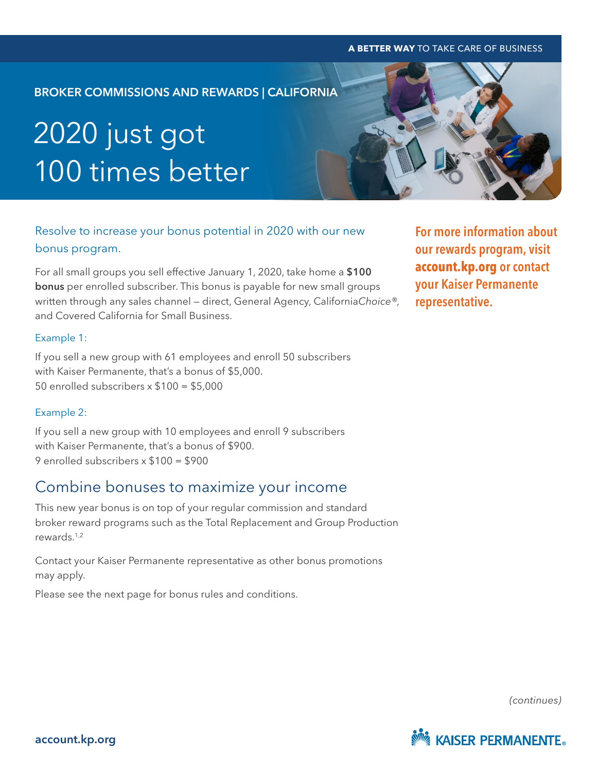#### **A BETTER WAY** TO TAKE CARE OF BUSINESS **A BETTER WAY** TO TAKE CARE OF BUSINESS

# BROKER COMMISSIONS AND REWARDS | CALIFORNIA 2020 just got 100 times better

## Resolve to increase your bonus potential in 2020 with our new bonus program.

For all small groups you sell effective January 1, 2020, take home a \$100 bonus per enrolled subscriber. This bonus is payable for new small groups written through any sales channel — direct, General Agency, California*Choice®,* and Covered California for Small Business.

#### Example 1:

If you sell a new group with 61 employees and enroll 50 subscribers with Kaiser Permanente, that's a bonus of \$5,000. 50 enrolled subscribers x \$100 = \$5,000

#### Example 2:

If you sell a new group with 10 employees and enroll 9 subscribers with Kaiser Permanente, that's a bonus of \$900. 9 enrolled subscribers x \$100 = \$900

### Combine bonuses to maximize your income

This new year bonus is on top of your regular commission and standard broker reward programs such as the Total Replacement and Group Production rewards.1,2

Contact your Kaiser Permanente representative as other bonus promotions may apply.

Please see the next page for bonus rules and conditions.

For more information about our rewards program, visit **[account.kp.org](https://account.kp.org/broker-employer/poc?uri=center:compensation&article=684E64A8-69CE-11E4-86A9-95F6381FB8B9®ion=CA)** or contact your Kaiser Permanente representative.

*(continues)*